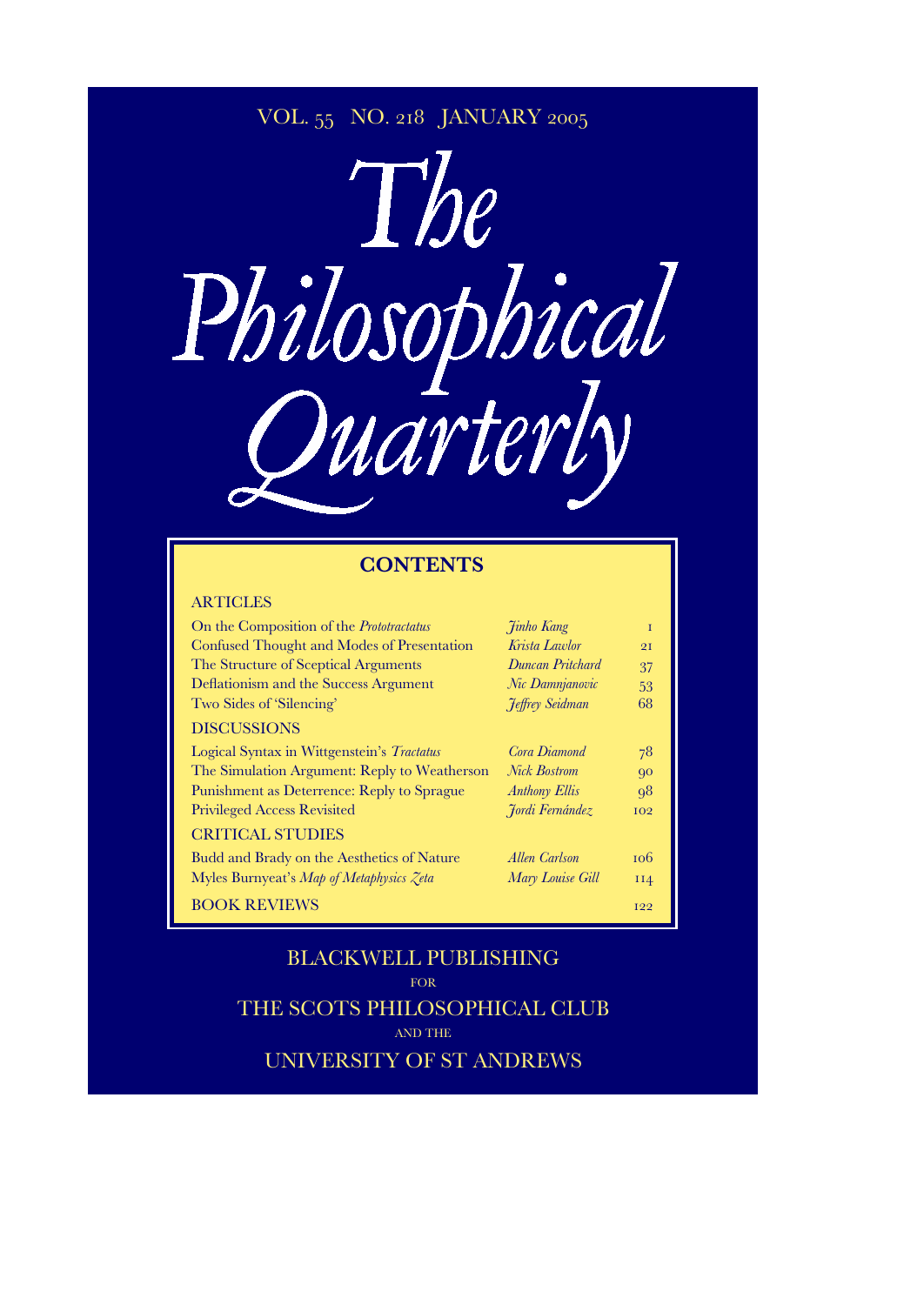# VOL. 55 NO. 218 JANUARY 2005

 $The$ Philosophical

## **CONTENTS**

A D'ITICI ES

| ARTIVLED                                        |                        |                 |
|-------------------------------------------------|------------------------|-----------------|
| On the Composition of the <i>Prototractatus</i> | Tinho Kang             | $\mathbf{I}$    |
| Confused Thought and Modes of Presentation      | Krista Lawlor          | 2I              |
| The Structure of Sceptical Arguments            | Duncan Pritchard       | 37              |
| Deflationism and the Success Argument           | Nic Damnjanovic        | 53              |
| Two Sides of 'Silencing'                        | <b>Jeffrey Seidman</b> | 68              |
| <b>DISCUSSIONS</b>                              |                        |                 |
| Logical Syntax in Wittgenstein's Tractatus      | Cora Diamond           | 78              |
| The Simulation Argument: Reply to Weatherson    | Nick Bostrom           | 90              |
| Punishment as Deterrence: Reply to Sprague      | <b>Anthony Ellis</b>   | $\overline{98}$ |
| <b>Privileged Access Revisited</b>              | Fordi Fernández        | 102             |
| <b>CRITICAL STUDIES</b>                         |                        |                 |
| Budd and Brady on the Aesthetics of Nature      | <b>Allen Carlson</b>   | 106             |
| Myles Burnyeat's Map of Metaphysics Zeta        | Mary Louise Gill       | II4             |
| <b>BOOK REVIEWS</b>                             |                        | <b>I22</b>      |

## BLACKWELL PUBLISHING

FOR

THE SCOTS PHILOSOPHICAL CLUB

AND THE

UNIVERSITY OF ST ANDREWS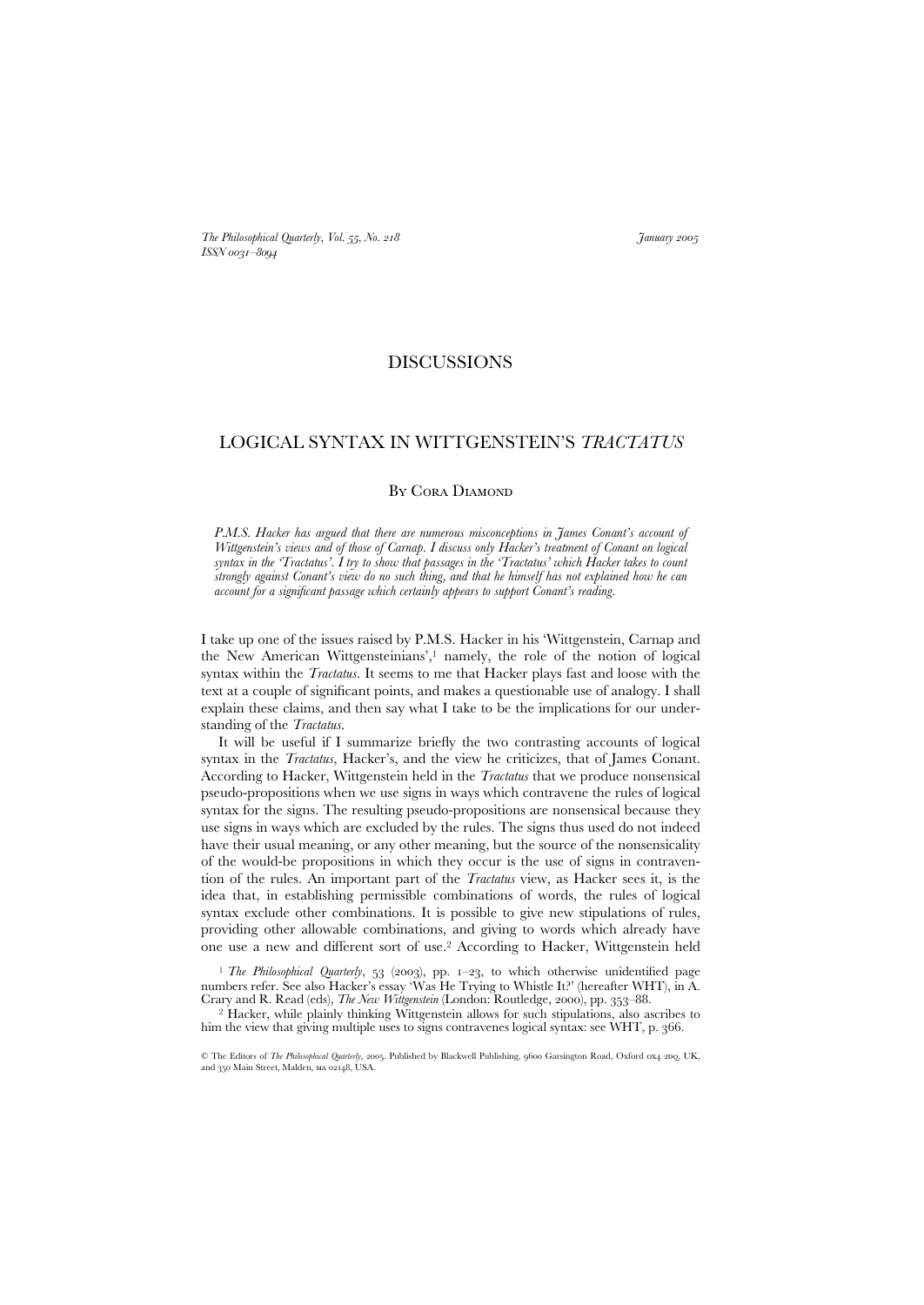## **DISCUSSIONS**

## LOGICAL SYNTAX IN WITTGENSTEIN'S *TRACTATUS*

## BY CORA DIAMOND

*P.M.S. Hacker has argued that there are numerous misconceptions in James Conant's account of Wittgenstein's views and of those of Carnap. I discuss only Hacker's treatment of Conant on logical syntax in the 'Tractatus'. I try to show that passages in the 'Tractatus' which Hacker takes to count strongly against Conant's view do no such thing, and that he himself has not explained how he can account for a significant passage which certainly appears to support Conant's reading.*

I take up one of the issues raised by P.M.S. Hacker in his 'Wittgenstein, Carnap and the New American Wittgensteinians',<sup>1</sup> namely, the role of the notion of logical syntax within the *Tractatus*. It seems to me that Hacker plays fast and loose with the text at a couple of significant points, and makes a questionable use of analogy. I shall explain these claims, and then say what I take to be the implications for our understanding of the *Tractatus*.

It will be useful if I summarize briefly the two contrasting accounts of logical syntax in the *Tractatus*, Hacker's, and the view he criticizes, that of James Conant. According to Hacker, Wittgenstein held in the *Tractatus* that we produce nonsensical pseudo-propositions when we use signs in ways which contravene the rules of logical syntax for the signs. The resulting pseudo-propositions are nonsensical because they use signs in ways which are excluded by the rules. The signs thus used do not indeed have their usual meaning, or any other meaning, but the source of the nonsensicality of the would-be propositions in which they occur is the use of signs in contravention of the rules. An important part of the *Tractatus* view, as Hacker sees it, is the idea that, in establishing permissible combinations of words, the rules of logical syntax exclude other combinations. It is possible to give new stipulations of rules, providing other allowable combinations, and giving to words which already have one use a new and different sort of use.2 According to Hacker, Wittgenstein held

<sup>1</sup> *The Philosophical Quarterly*, 53 (2003), pp. 1-23, to which otherwise unidentified page numbers refer. See also Hacker's essay 'Was He Trying to Whistle It?' (hereafter WHT), in A. Crary and R. Read (eds), *The New Wittgenstein* (London: Routledge, 2000), pp. 353–88.

<sup>2</sup> Hacker, while plainly thinking Wittgenstein allows for such stipulations, also ascribes to him the view that giving multiple uses to signs contravenes logical syntax: see WHT, p. 366.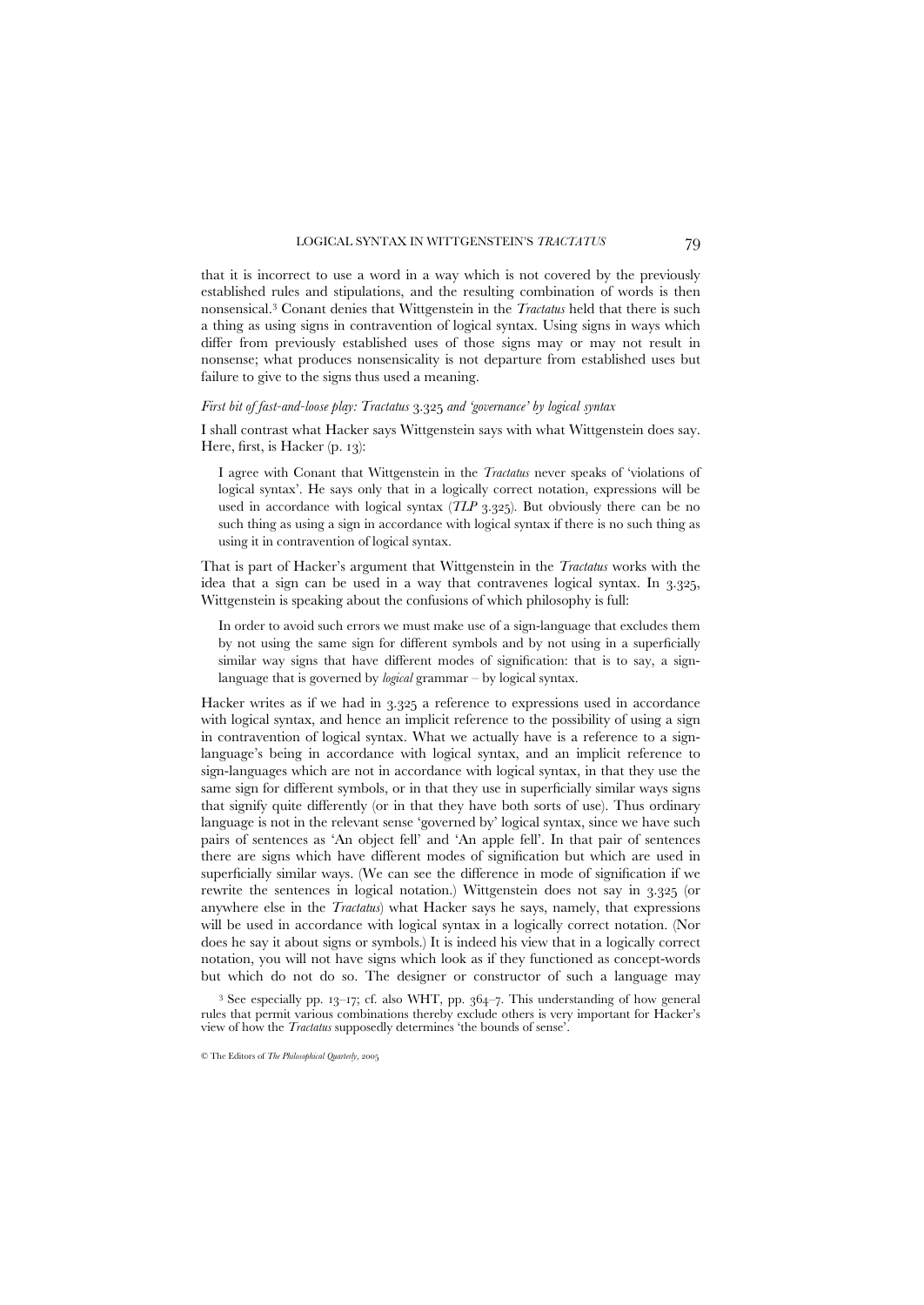that it is incorrect to use a word in a way which is not covered by the previously established rules and stipulations, and the resulting combination of words is then nonsensical.3 Conant denies that Wittgenstein in the *Tractatus* held that there is such a thing as using signs in contravention of logical syntax. Using signs in ways which differ from previously established uses of those signs may or may not result in nonsense; what produces nonsensicality is not departure from established uses but failure to give to the signs thus used a meaning.

## *First bit of fast-and-loose play: Tractatus . and 'governance' by logical syntax*

I shall contrast what Hacker says Wittgenstein says with what Wittgenstein does say. Here, first, is Hacker  $(p, 13)$ :

I agree with Conant that Wittgenstein in the *Tractatus* never speaks of 'violations of logical syntax'. He says only that in a logically correct notation, expressions will be used in accordance with logical syntax  $(TLP_3.325)$ . But obviously there can be no such thing as using a sign in accordance with logical syntax if there is no such thing as using it in contravention of logical syntax.

That is part of Hacker's argument that Wittgenstein in the *Tractatus* works with the idea that a sign can be used in a way that contravenes logical syntax. In  $3.325$ , Wittgenstein is speaking about the confusions of which philosophy is full:

In order to avoid such errors we must make use of a sign-language that excludes them by not using the same sign for different symbols and by not using in a superficially similar way signs that have different modes of signification: that is to say, a signlanguage that is governed by *logical* grammar – by logical syntax.

Hacker writes as if we had in  $3.325$  a reference to expressions used in accordance with logical syntax, and hence an implicit reference to the possibility of using a sign in contravention of logical syntax. What we actually have is a reference to a signlanguage's being in accordance with logical syntax, and an implicit reference to sign-languages which are not in accordance with logical syntax, in that they use the same sign for different symbols, or in that they use in superficially similar ways signs that signify quite differently (or in that they have both sorts of use). Thus ordinary language is not in the relevant sense 'governed by' logical syntax, since we have such pairs of sentences as 'An object fell' and 'An apple fell'. In that pair of sentences there are signs which have different modes of signification but which are used in superficially similar ways. (We can see the difference in mode of signification if we rewrite the sentences in logical notation.) Wittgenstein does not say in  $3.325$  (or anywhere else in the *Tractatus*) what Hacker says he says, namely, that expressions will be used in accordance with logical syntax in a logically correct notation. (Nor does he say it about signs or symbols.) It is indeed his view that in a logically correct notation, you will not have signs which look as if they functioned as concept-words but which do not do so. The designer or constructor of such a language may

 $3$  See especially pp. 13-17; cf. also WHT, pp. 364-7. This understanding of how general rules that permit various combinations thereby exclude others is very important for Hacker's view of how the *Tractatus* supposedly determines 'the bounds of sense'.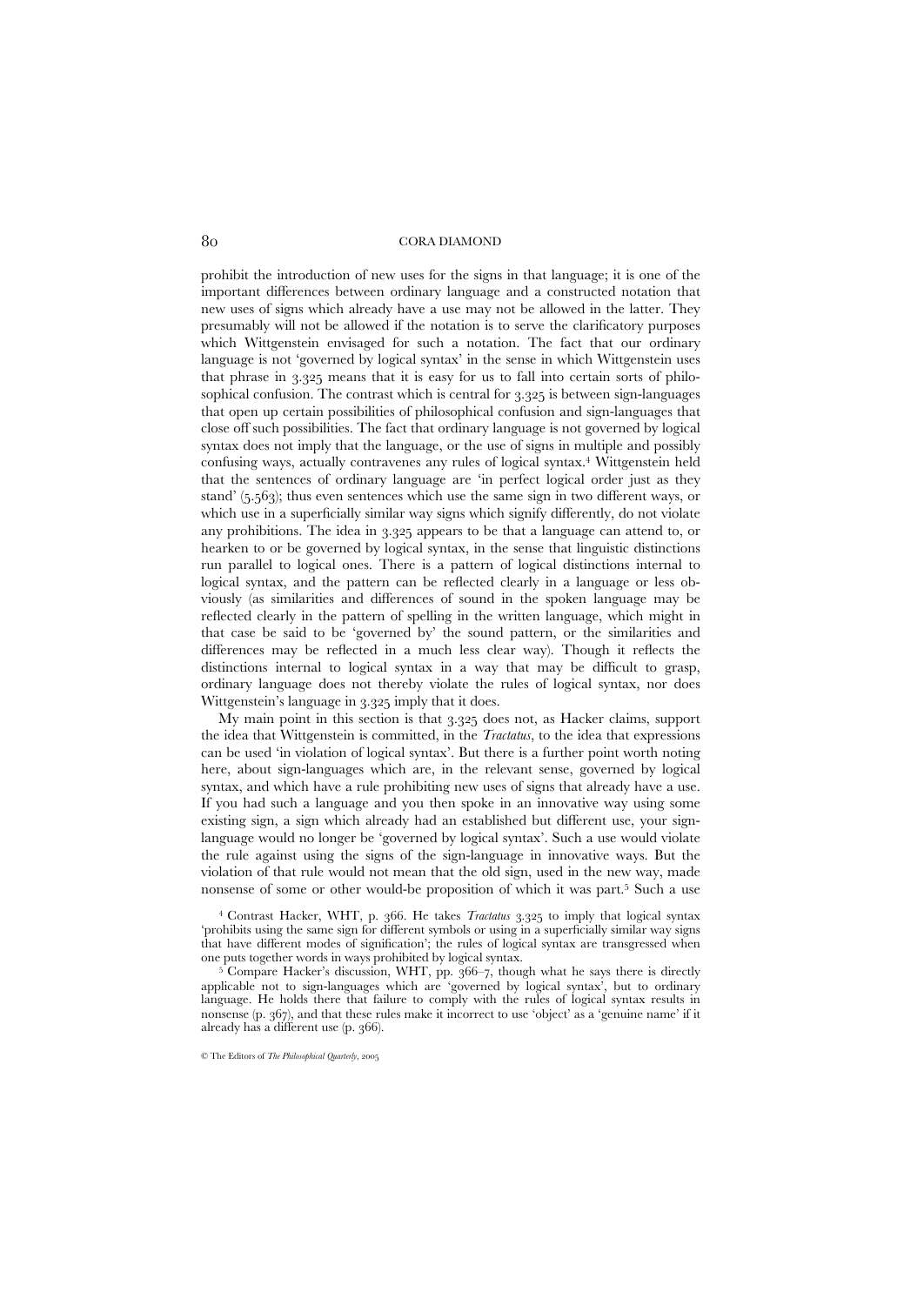prohibit the introduction of new uses for the signs in that language; it is one of the important differences between ordinary language and a constructed notation that new uses of signs which already have a use may not be allowed in the latter. They presumably will not be allowed if the notation is to serve the clarificatory purposes which Wittgenstein envisaged for such a notation. The fact that our ordinary language is not 'governed by logical syntax' in the sense in which Wittgenstein uses that phrase in  $3.325$  means that it is easy for us to fall into certain sorts of philosophical confusion. The contrast which is central for  $3.325$  is between sign-languages that open up certain possibilities of philosophical confusion and sign-languages that close off such possibilities. The fact that ordinary language is not governed by logical syntax does not imply that the language, or the use of signs in multiple and possibly confusing ways, actually contravenes any rules of logical syntax.4 Wittgenstein held that the sentences of ordinary language are 'in perfect logical order just as they stand'  $(5.563)$ ; thus even sentences which use the same sign in two different ways, or which use in a superficially similar way signs which signify differently, do not violate any prohibitions. The idea in 3.325 appears to be that a language can attend to, or hearken to or be governed by logical syntax, in the sense that linguistic distinctions run parallel to logical ones. There is a pattern of logical distinctions internal to logical syntax, and the pattern can be reflected clearly in a language or less obviously (as similarities and differences of sound in the spoken language may be reflected clearly in the pattern of spelling in the written language, which might in that case be said to be 'governed by' the sound pattern, or the similarities and differences may be reflected in a much less clear way). Though it reflects the distinctions internal to logical syntax in a way that may be difficult to grasp, ordinary language does not thereby violate the rules of logical syntax, nor does Wittgenstein's language in 3.325 imply that it does.

My main point in this section is that 3.325 does not, as Hacker claims, support the idea that Wittgenstein is committed, in the *Tractatus*, to the idea that expressions can be used 'in violation of logical syntax'. But there is a further point worth noting here, about sign-languages which are, in the relevant sense, governed by logical syntax, and which have a rule prohibiting new uses of signs that already have a use. If you had such a language and you then spoke in an innovative way using some existing sign, a sign which already had an established but different use, your signlanguage would no longer be 'governed by logical syntax'. Such a use would violate the rule against using the signs of the sign-language in innovative ways. But the violation of that rule would not mean that the old sign, used in the new way, made nonsense of some or other would-be proposition of which it was part.5 Such a use

<sup>4</sup> Contrast Hacker, WHT, p. 366. He takes *Tractatus* 3.325 to imply that logical syntax 'prohibits using the same sign for different symbols or using in a superficially similar way signs that have different modes of signification'; the rules of logical syntax are transgressed when one puts together words in ways prohibited by logical syntax.

<sup>5</sup> Compare Hacker's discussion, WHT, pp.  $\frac{1}{9}66 - 7$ , though what he says there is directly applicable not to sign-languages which are 'governed by logical syntax', but to ordinary language. He holds there that failure to comply with the rules of logical syntax results in nonsense (p.  $367$ ), and that these rules make it incorrect to use 'object' as a 'genuine name' if it already has a different use (p. 366).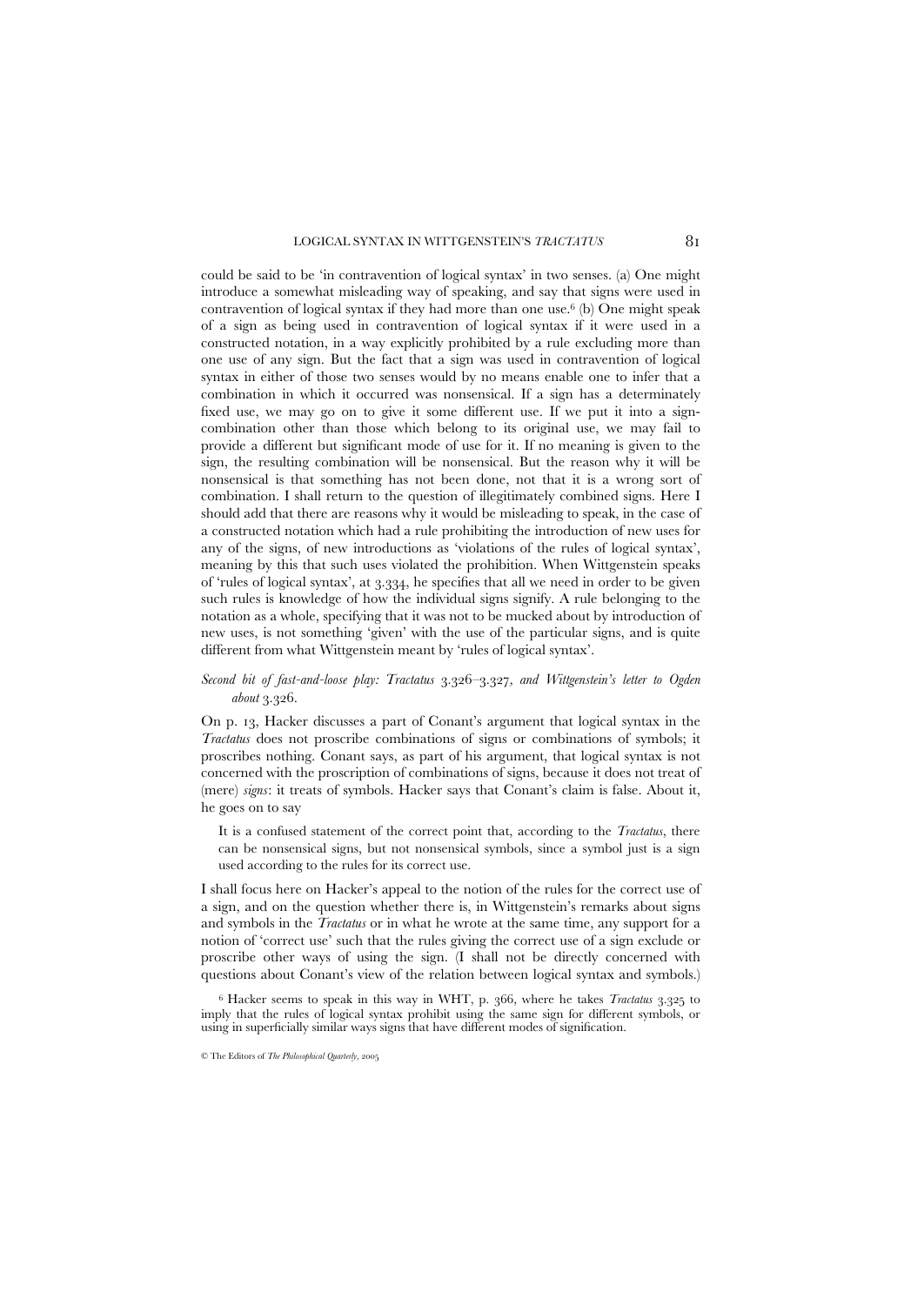could be said to be 'in contravention of logical syntax' in two senses. (a) One might introduce a somewhat misleading way of speaking, and say that signs were used in contravention of logical syntax if they had more than one use.<sup>6</sup> (b) One might speak of a sign as being used in contravention of logical syntax if it were used in a constructed notation, in a way explicitly prohibited by a rule excluding more than one use of any sign. But the fact that a sign was used in contravention of logical syntax in either of those two senses would by no means enable one to infer that a combination in which it occurred was nonsensical. If a sign has a determinately fixed use, we may go on to give it some different use. If we put it into a signcombination other than those which belong to its original use, we may fail to provide a different but significant mode of use for it. If no meaning is given to the sign, the resulting combination will be nonsensical. But the reason why it will be nonsensical is that something has not been done, not that it is a wrong sort of combination. I shall return to the question of illegitimately combined signs. Here I should add that there are reasons why it would be misleading to speak, in the case of a constructed notation which had a rule prohibiting the introduction of new uses for any of the signs, of new introductions as 'violations of the rules of logical syntax', meaning by this that such uses violated the prohibition. When Wittgenstein speaks of 'rules of logical syntax', at 3.334, he specifies that all we need in order to be given such rules is knowledge of how the individual signs signify. A rule belonging to the notation as a whole, specifying that it was not to be mucked about by introduction of new uses, is not something 'given' with the use of the particular signs, and is quite different from what Wittgenstein meant by 'rules of logical syntax'.

## *Second bit of fast-and-loose play: Tractatus .–., and Wittgenstein's letter to Ogden about .*.

On p. 13, Hacker discusses a part of Conant's argument that logical syntax in the *Tractatus* does not proscribe combinations of signs or combinations of symbols; it proscribes nothing. Conant says, as part of his argument, that logical syntax is not concerned with the proscription of combinations of signs, because it does not treat of (mere) *signs*: it treats of symbols. Hacker says that Conant's claim is false. About it, he goes on to say

It is a confused statement of the correct point that, according to the *Tractatus*, there can be nonsensical signs, but not nonsensical symbols, since a symbol just is a sign used according to the rules for its correct use.

I shall focus here on Hacker's appeal to the notion of the rules for the correct use of a sign, and on the question whether there is, in Wittgenstein's remarks about signs and symbols in the *Tractatus* or in what he wrote at the same time, any support for a notion of 'correct use' such that the rules giving the correct use of a sign exclude or proscribe other ways of using the sign. (I shall not be directly concerned with questions about Conant's view of the relation between logical syntax and symbols.)

<sup>6</sup> Hacker seems to speak in this way in WHT, p. 366, where he takes *Tractatus* 3.325 to imply that the rules of logical syntax prohibit using the same sign for different symbols, or using in superficially similar ways signs that have different modes of signification.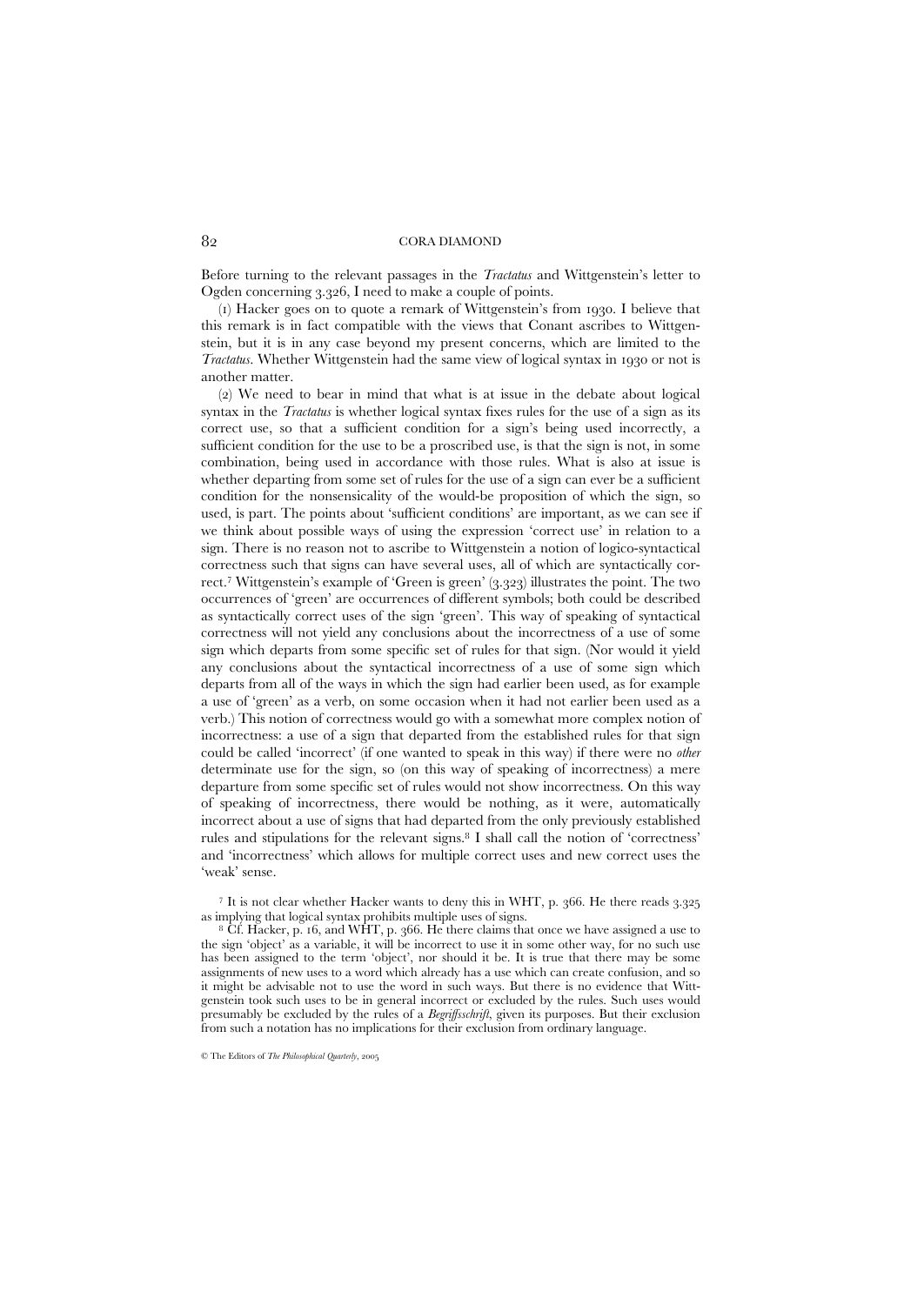Before turning to the relevant passages in the *Tractatus* and Wittgenstein's letter to Ogden concerning  $3.326$ , I need to make a couple of points.

(I) Hacker goes on to quote a remark of Wittgenstein's from 1930. I believe that this remark is in fact compatible with the views that Conant ascribes to Wittgenstein, but it is in any case beyond my present concerns, which are limited to the *Tractatus*. Whether Wittgenstein had the same view of logical syntax in 1930 or not is another matter.

 $(2)$  We need to bear in mind that what is at issue in the debate about logical syntax in the *Tractatus* is whether logical syntax fixes rules for the use of a sign as its correct use, so that a sufficient condition for a sign's being used incorrectly, a sufficient condition for the use to be a proscribed use, is that the sign is not, in some combination, being used in accordance with those rules. What is also at issue is whether departing from some set of rules for the use of a sign can ever be a sufficient condition for the nonsensicality of the would-be proposition of which the sign, so used, is part. The points about 'sufficient conditions' are important, as we can see if we think about possible ways of using the expression 'correct use' in relation to a sign. There is no reason not to ascribe to Wittgenstein a notion of logico-syntactical correctness such that signs can have several uses, all of which are syntactically correct.<sup>7</sup> Wittgenstein's example of 'Green is green'  $(3.323)$  illustrates the point. The two occurrences of 'green' are occurrences of different symbols; both could be described as syntactically correct uses of the sign 'green'. This way of speaking of syntactical correctness will not yield any conclusions about the incorrectness of a use of some sign which departs from some specific set of rules for that sign. (Nor would it yield any conclusions about the syntactical incorrectness of a use of some sign which departs from all of the ways in which the sign had earlier been used, as for example a use of 'green' as a verb, on some occasion when it had not earlier been used as a verb.) This notion of correctness would go with a somewhat more complex notion of incorrectness: a use of a sign that departed from the established rules for that sign could be called 'incorrect' (if one wanted to speak in this way) if there were no *other* determinate use for the sign, so (on this way of speaking of incorrectness) a mere departure from some specific set of rules would not show incorrectness. On this way of speaking of incorrectness, there would be nothing, as it were, automatically incorrect about a use of signs that had departed from the only previously established rules and stipulations for the relevant signs.8 I shall call the notion of 'correctness' and 'incorrectness' which allows for multiple correct uses and new correct uses the 'weak' sense.

 $\frac{7}{1}$  It is not clear whether Hacker wants to deny this in WHT, p. 366. He there reads 3.325 as implying that logical syntax prohibits multiple uses of signs.

<sup>8</sup> Cf. Hacker, p. 16, and WHT, p. 366. He there claims that once we have assigned a use to the sign 'object' as a variable, it will be incorrect to use it in some other way, for no such use has been assigned to the term 'object', nor should it be. It is true that there may be some assignments of new uses to a word which already has a use which can create confusion, and so it might be advisable not to use the word in such ways. But there is no evidence that Wittgenstein took such uses to be in general incorrect or excluded by the rules. Such uses would presumably be excluded by the rules of a *Begriffsschrift*, given its purposes. But their exclusion from such a notation has no implications for their exclusion from ordinary language.

© The Editors of *The Philosophical Quarterly*,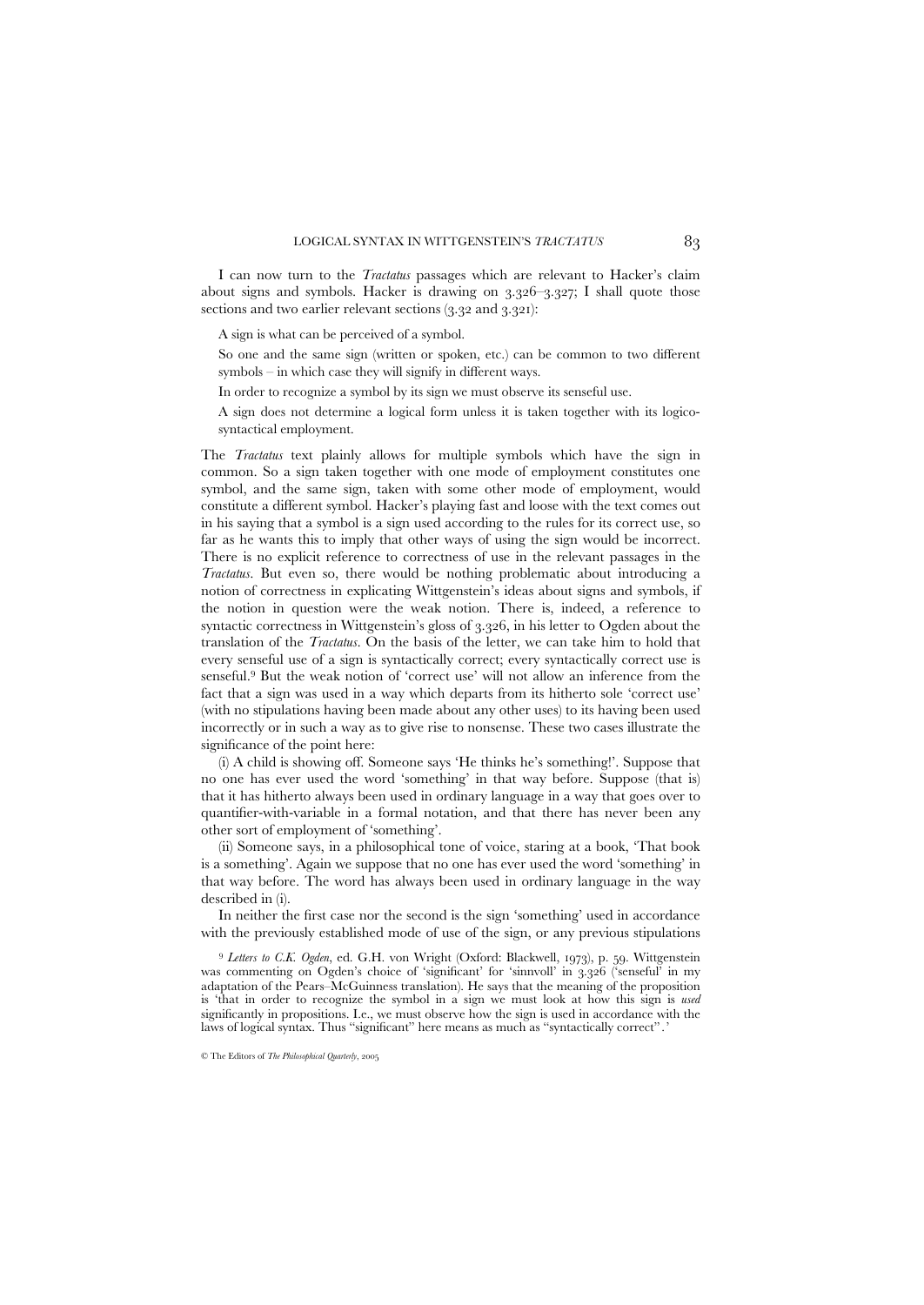I can now turn to the *Tractatus* passages which are relevant to Hacker's claim about signs and symbols. Hacker is drawing on  $3.326 - 3.327$ ; I shall quote those sections and two earlier relevant sections  $(3.32 \text{ and } 3.321)$ :

A sign is what can be perceived of a symbol.

So one and the same sign (written or spoken, etc.) can be common to two different symbols – in which case they will signify in different ways.

In order to recognize a symbol by its sign we must observe its senseful use.

A sign does not determine a logical form unless it is taken together with its logicosyntactical employment.

The *Tractatus* text plainly allows for multiple symbols which have the sign in common. So a sign taken together with one mode of employment constitutes one symbol, and the same sign, taken with some other mode of employment, would constitute a different symbol. Hacker's playing fast and loose with the text comes out in his saying that a symbol is a sign used according to the rules for its correct use, so far as he wants this to imply that other ways of using the sign would be incorrect. There is no explicit reference to correctness of use in the relevant passages in the *Tractatus*. But even so, there would be nothing problematic about introducing a notion of correctness in explicating Wittgenstein's ideas about signs and symbols, if the notion in question were the weak notion. There is, indeed, a reference to syntactic correctness in Wittgenstein's gloss of  $3.326$ , in his letter to Ogden about the translation of the *Tractatus*. On the basis of the letter, we can take him to hold that every senseful use of a sign is syntactically correct; every syntactically correct use is senseful.9 But the weak notion of 'correct use' will not allow an inference from the fact that a sign was used in a way which departs from its hitherto sole 'correct use' (with no stipulations having been made about any other uses) to its having been used incorrectly or in such a way as to give rise to nonsense. These two cases illustrate the significance of the point here:

(i) A child is showing off. Someone says 'He thinks he's something!'. Suppose that no one has ever used the word 'something' in that way before. Suppose (that is) that it has hitherto always been used in ordinary language in a way that goes over to quantifier-with-variable in a formal notation, and that there has never been any other sort of employment of 'something'.

(ii) Someone says, in a philosophical tone of voice, staring at a book, 'That book is a something'. Again we suppose that no one has ever used the word 'something' in that way before. The word has always been used in ordinary language in the way described in (i).

In neither the first case nor the second is the sign 'something' used in accordance with the previously established mode of use of the sign, or any previous stipulations

<sup>9</sup> Letters to C.K. Ogden, ed. G.H. von Wright (Oxford: Blackwell, 1973), p. 59. Wittgenstein was commenting on Ogden's choice of 'significant' for 'sinnvoll' in 3.326 ('senseful' in my adaptation of the Pears–McGuinness translation). He says that the meaning of the proposition is 'that in order to recognize the symbol in a sign we must look at how this sign is *used* significantly in propositions. I.e., we must observe how the sign is used in accordance with the laws of logical syntax. Thus "significant" here means as much as "syntactically correct".'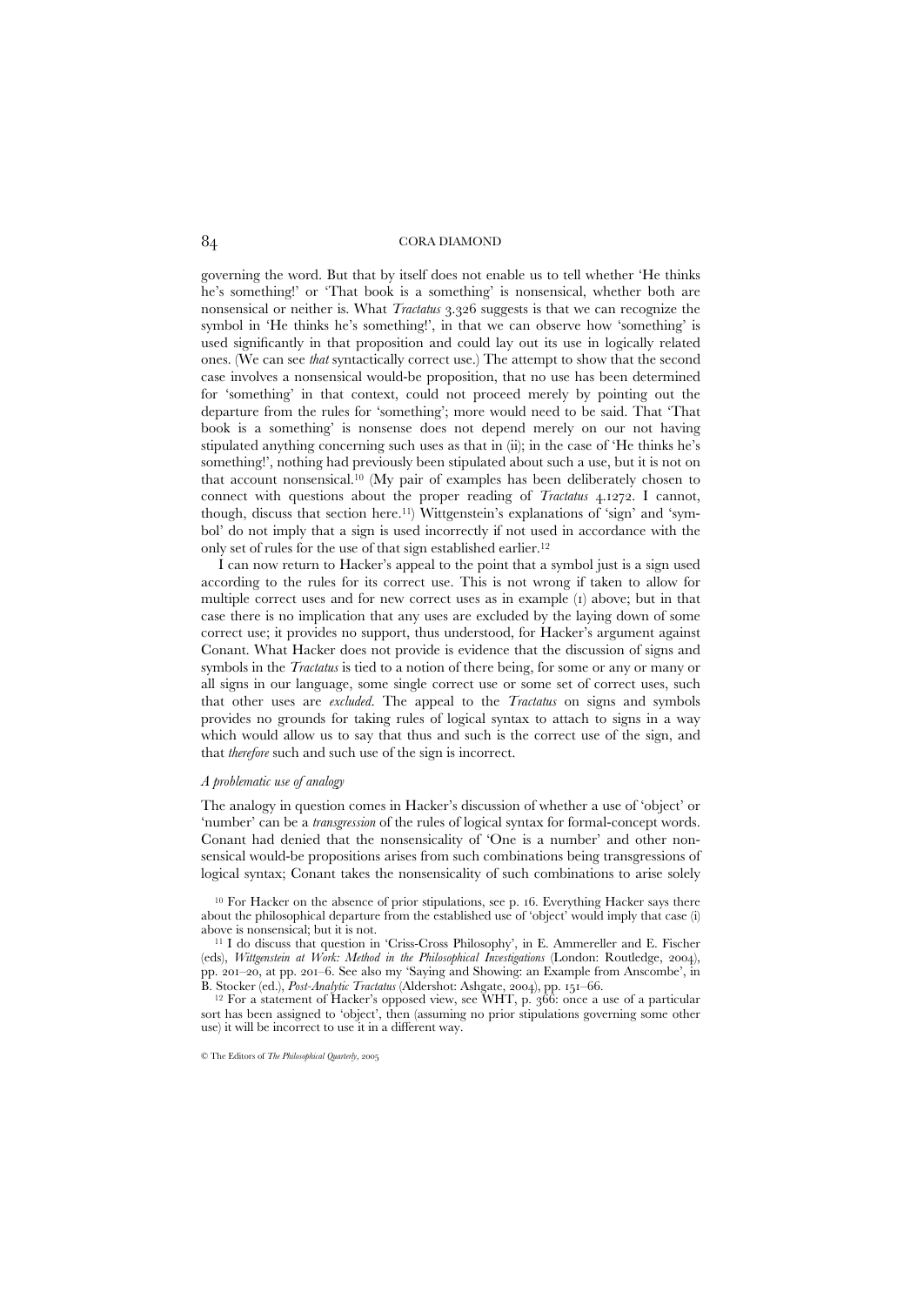governing the word. But that by itself does not enable us to tell whether 'He thinks he's something!' or 'That book is a something' is nonsensical, whether both are nonsensical or neither is. What *Tractatus* 3.326 suggests is that we can recognize the symbol in 'He thinks he's something!', in that we can observe how 'something' is used significantly in that proposition and could lay out its use in logically related ones. (We can see *that* syntactically correct use.) The attempt to show that the second case involves a nonsensical would-be proposition, that no use has been determined for 'something' in that context, could not proceed merely by pointing out the departure from the rules for 'something'; more would need to be said. That 'That book is a something' is nonsense does not depend merely on our not having stipulated anything concerning such uses as that in (ii); in the case of 'He thinks he's something!', nothing had previously been stipulated about such a use, but it is not on that account nonsensical.10 (My pair of examples has been deliberately chosen to connect with questions about the proper reading of *Tractatus* 4.1272. I cannot, though, discuss that section here.11) Wittgenstein's explanations of 'sign' and 'symbol' do not imply that a sign is used incorrectly if not used in accordance with the only set of rules for the use of that sign established earlier.12

I can now return to Hacker's appeal to the point that a symbol just is a sign used according to the rules for its correct use. This is not wrong if taken to allow for multiple correct uses and for new correct uses as in example  $(i)$  above; but in that case there is no implication that any uses are excluded by the laying down of some correct use; it provides no support, thus understood, for Hacker's argument against Conant. What Hacker does not provide is evidence that the discussion of signs and symbols in the *Tractatus* is tied to a notion of there being, for some or any or many or all signs in our language, some single correct use or some set of correct uses, such that other uses are *excluded*. The appeal to the *Tractatus* on signs and symbols provides no grounds for taking rules of logical syntax to attach to signs in a way which would allow us to say that thus and such is the correct use of the sign, and that *therefore* such and such use of the sign is incorrect.

### *A problematic use of analogy*

The analogy in question comes in Hacker's discussion of whether a use of 'object' or 'number' can be a *transgression* of the rules of logical syntax for formal-concept words. Conant had denied that the nonsensicality of 'One is a number' and other nonsensical would-be propositions arises from such combinations being transgressions of logical syntax; Conant takes the nonsensicality of such combinations to arise solely

<sup>10</sup> For Hacker on the absence of prior stipulations, see p. 16. Everything Hacker says there about the philosophical departure from the established use of 'object' would imply that case (i) above is nonsensical; but it is not.

<sup>11</sup> I do discuss that question in 'Criss-Cross Philosophy', in E. Ammereller and E. Fischer (eds), Wittgenstein at Work: Method in the Philosophical Investigations (London: Routledge, 2004), pp. 201-20, at pp. 201-6. See also my 'Saying and Showing: an Example from Anscombe', in B. Stocker (ed.), *Post-Analytic Tractatus* (Aldershot: Ashgate, 2004), pp. 151-66.

 $12$  For a statement of Hacker's opposed view, see WHT, p.  $366$ : once a use of a particular sort has been assigned to 'object', then (assuming no prior stipulations governing some other use) it will be incorrect to use it in a different way.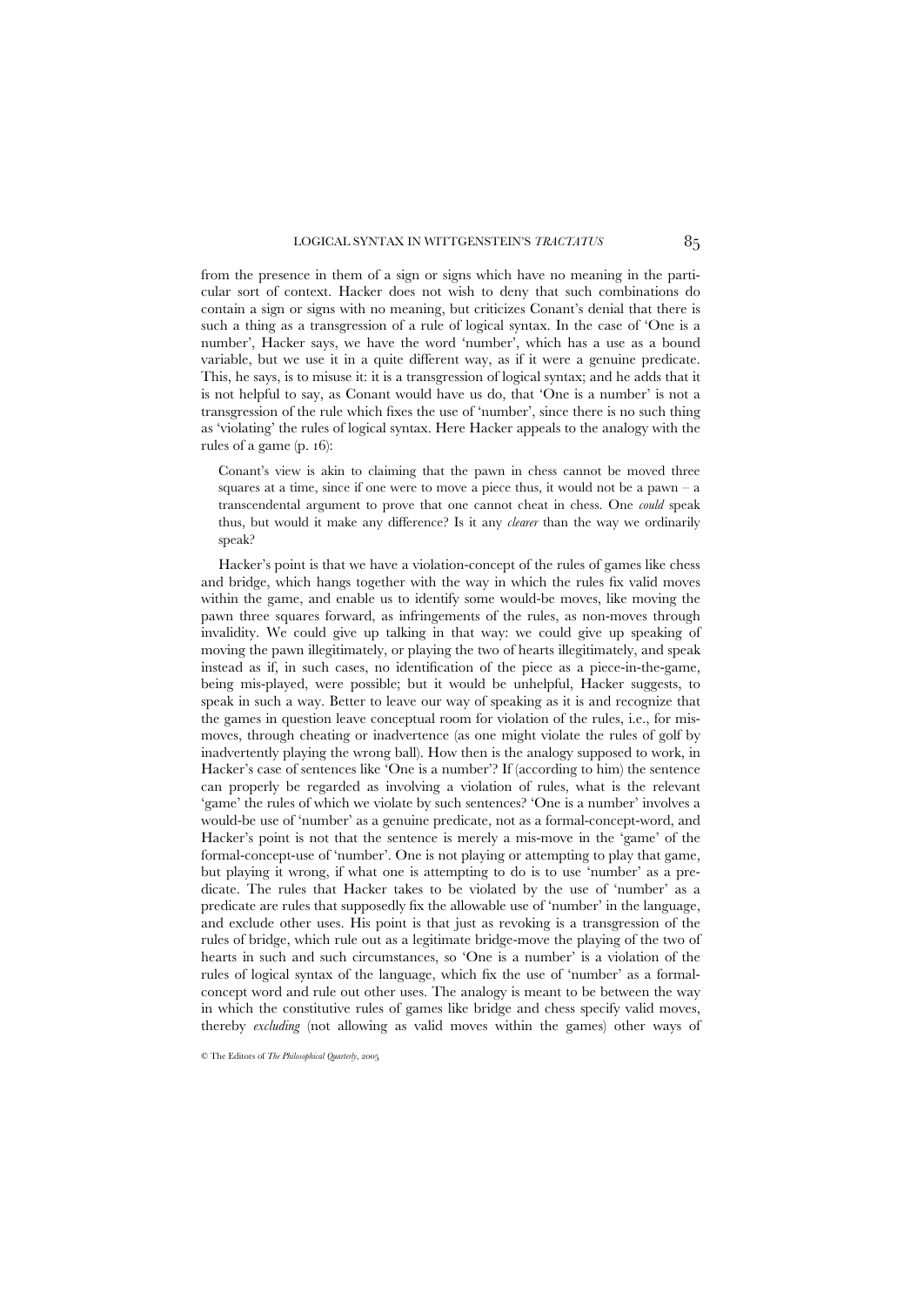from the presence in them of a sign or signs which have no meaning in the particular sort of context. Hacker does not wish to deny that such combinations do contain a sign or signs with no meaning, but criticizes Conant's denial that there is such a thing as a transgression of a rule of logical syntax. In the case of 'One is a number', Hacker says, we have the word 'number', which has a use as a bound variable, but we use it in a quite different way, as if it were a genuine predicate. This, he says, is to misuse it: it is a transgression of logical syntax; and he adds that it is not helpful to say, as Conant would have us do, that 'One is a number' is not a transgression of the rule which fixes the use of 'number', since there is no such thing as 'violating' the rules of logical syntax. Here Hacker appeals to the analogy with the rules of a game  $(p. 16)$ :

Conant's view is akin to claiming that the pawn in chess cannot be moved three squares at a time, since if one were to move a piece thus, it would not be a pawn – a transcendental argument to prove that one cannot cheat in chess. One *could* speak thus, but would it make any difference? Is it any *clearer* than the way we ordinarily speak?

Hacker's point is that we have a violation-concept of the rules of games like chess and bridge, which hangs together with the way in which the rules fix valid moves within the game, and enable us to identify some would-be moves, like moving the pawn three squares forward, as infringements of the rules, as non-moves through invalidity. We could give up talking in that way: we could give up speaking of moving the pawn illegitimately, or playing the two of hearts illegitimately, and speak instead as if, in such cases, no identification of the piece as a piece-in-the-game, being mis-played, were possible; but it would be unhelpful, Hacker suggests, to speak in such a way. Better to leave our way of speaking as it is and recognize that the games in question leave conceptual room for violation of the rules, i.e., for mismoves, through cheating or inadvertence (as one might violate the rules of golf by inadvertently playing the wrong ball). How then is the analogy supposed to work, in Hacker's case of sentences like 'One is a number'? If (according to him) the sentence can properly be regarded as involving a violation of rules, what is the relevant 'game' the rules of which we violate by such sentences? 'One is a number' involves a would-be use of 'number' as a genuine predicate, not as a formal-concept-word, and Hacker's point is not that the sentence is merely a mis-move in the 'game' of the formal-concept-use of 'number'. One is not playing or attempting to play that game, but playing it wrong, if what one is attempting to do is to use 'number' as a predicate. The rules that Hacker takes to be violated by the use of 'number' as a predicate are rules that supposedly fix the allowable use of 'number' in the language, and exclude other uses. His point is that just as revoking is a transgression of the rules of bridge, which rule out as a legitimate bridge-move the playing of the two of hearts in such and such circumstances, so 'One is a number' is a violation of the rules of logical syntax of the language, which fix the use of 'number' as a formalconcept word and rule out other uses. The analogy is meant to be between the way in which the constitutive rules of games like bridge and chess specify valid moves, thereby *excluding* (not allowing as valid moves within the games) other ways of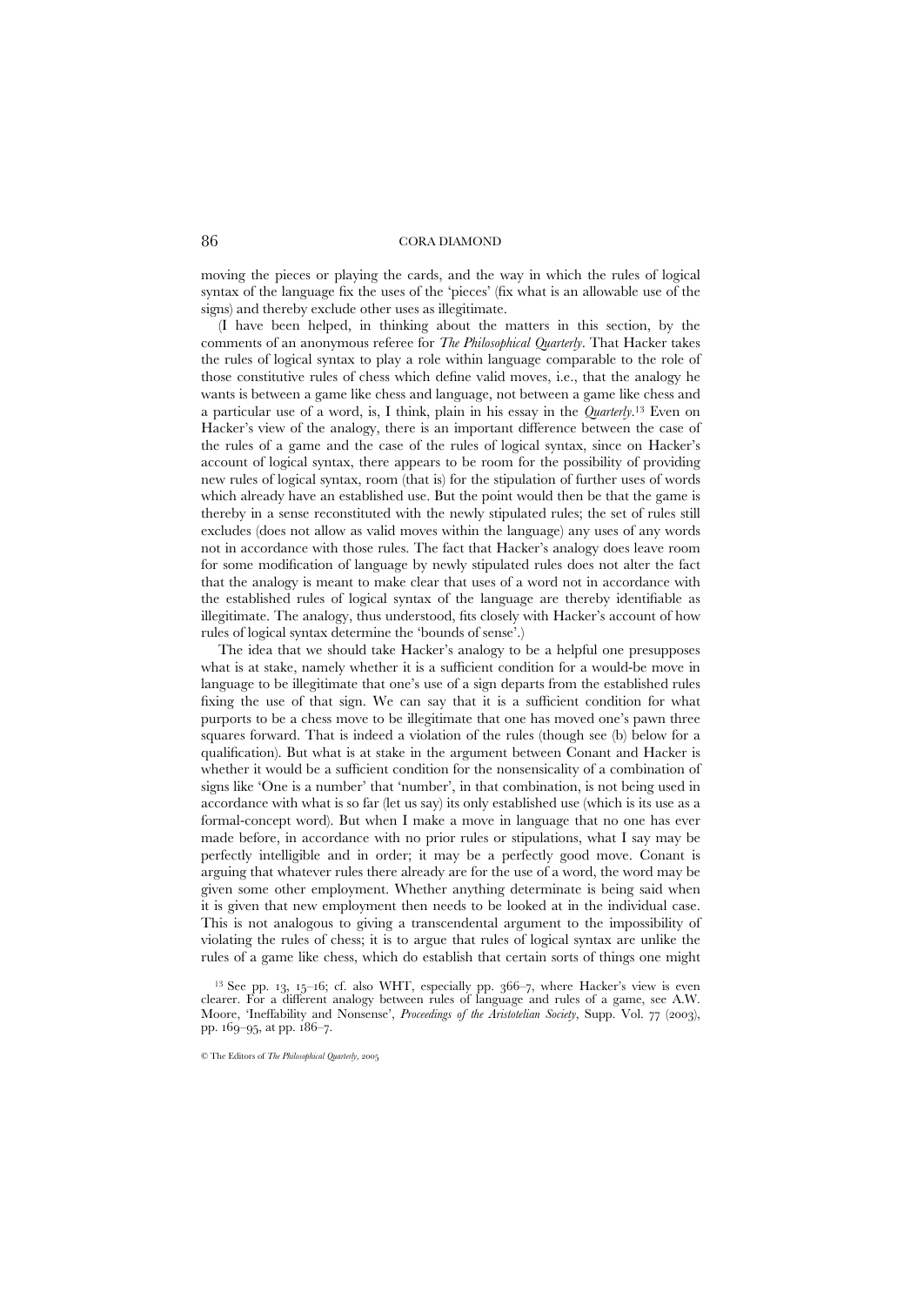moving the pieces or playing the cards, and the way in which the rules of logical syntax of the language fix the uses of the 'pieces' (fix what is an allowable use of the signs) and thereby exclude other uses as illegitimate.

(I have been helped, in thinking about the matters in this section, by the comments of an anonymous referee for *The Philosophical Quarterly*. That Hacker takes the rules of logical syntax to play a role within language comparable to the role of those constitutive rules of chess which define valid moves, i.e., that the analogy he wants is between a game like chess and language, not between a game like chess and a particular use of a word, is, I think, plain in his essay in the *Quarterly*.13 Even on Hacker's view of the analogy, there is an important difference between the case of the rules of a game and the case of the rules of logical syntax, since on Hacker's account of logical syntax, there appears to be room for the possibility of providing new rules of logical syntax, room (that is) for the stipulation of further uses of words which already have an established use. But the point would then be that the game is thereby in a sense reconstituted with the newly stipulated rules; the set of rules still excludes (does not allow as valid moves within the language) any uses of any words not in accordance with those rules. The fact that Hacker's analogy does leave room for some modification of language by newly stipulated rules does not alter the fact that the analogy is meant to make clear that uses of a word not in accordance with the established rules of logical syntax of the language are thereby identifiable as illegitimate. The analogy, thus understood, fits closely with Hacker's account of how rules of logical syntax determine the 'bounds of sense'.)

The idea that we should take Hacker's analogy to be a helpful one presupposes what is at stake, namely whether it is a sufficient condition for a would-be move in language to be illegitimate that one's use of a sign departs from the established rules fixing the use of that sign. We can say that it is a sufficient condition for what purports to be a chess move to be illegitimate that one has moved one's pawn three squares forward. That is indeed a violation of the rules (though see (b) below for a qualification). But what is at stake in the argument between Conant and Hacker is whether it would be a sufficient condition for the nonsensicality of a combination of signs like 'One is a number' that 'number', in that combination, is not being used in accordance with what is so far (let us say) its only established use (which is its use as a formal-concept word). But when I make a move in language that no one has ever made before, in accordance with no prior rules or stipulations, what I say may be perfectly intelligible and in order; it may be a perfectly good move. Conant is arguing that whatever rules there already are for the use of a word, the word may be given some other employment. Whether anything determinate is being said when it is given that new employment then needs to be looked at in the individual case. This is not analogous to giving a transcendental argument to the impossibility of violating the rules of chess; it is to argue that rules of logical syntax are unlike the rules of a game like chess, which do establish that certain sorts of things one might

 $13$  See pp. 13, 15-16; cf. also WHT, especially pp. 366-7, where Hacker's view is even clearer. For a different analogy between rules of language and rules of a game, see A.W. Moore, 'Ineffability and Nonsense', *Proceedings of the Aristotelian Society*, Supp. Vol. 77 (2003), pp.  $169-95$ , at pp.  $186-7$ .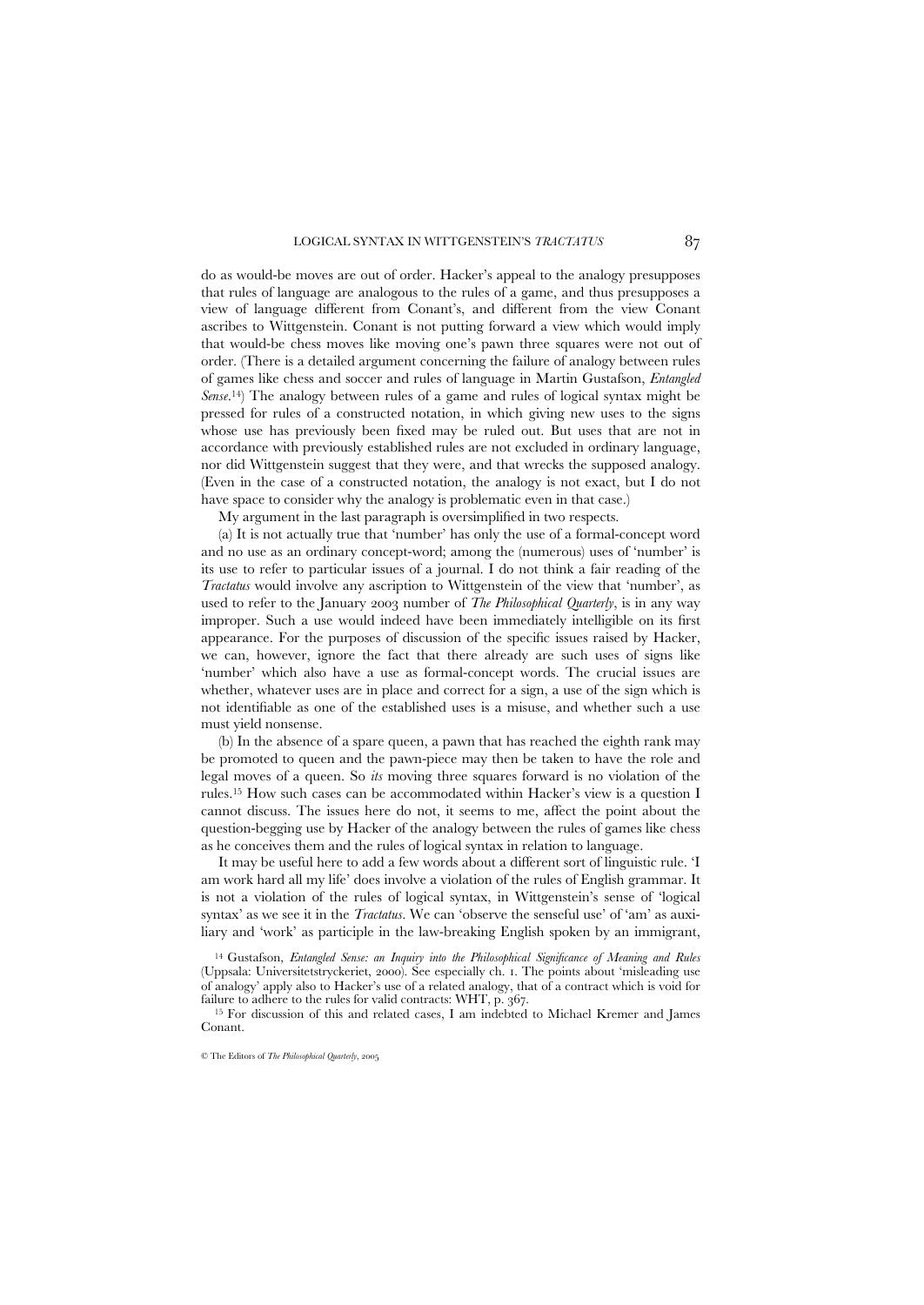do as would-be moves are out of order. Hacker's appeal to the analogy presupposes that rules of language are analogous to the rules of a game, and thus presupposes a view of language different from Conant's, and different from the view Conant ascribes to Wittgenstein. Conant is not putting forward a view which would imply that would-be chess moves like moving one's pawn three squares were not out of order. (There is a detailed argument concerning the failure of analogy between rules of games like chess and soccer and rules of language in Martin Gustafson, *Entangled Sense*.14) The analogy between rules of a game and rules of logical syntax might be pressed for rules of a constructed notation, in which giving new uses to the signs whose use has previously been fixed may be ruled out. But uses that are not in accordance with previously established rules are not excluded in ordinary language, nor did Wittgenstein suggest that they were, and that wrecks the supposed analogy. (Even in the case of a constructed notation, the analogy is not exact, but I do not have space to consider why the analogy is problematic even in that case.)

My argument in the last paragraph is oversimplified in two respects.

(a) It is not actually true that 'number' has only the use of a formal-concept word and no use as an ordinary concept-word; among the (numerous) uses of 'number' is its use to refer to particular issues of a journal. I do not think a fair reading of the *Tractatus* would involve any ascription to Wittgenstein of the view that 'number', as used to refer to the January 2003 number of *The Philosophical Quarterly*, is in any way improper. Such a use would indeed have been immediately intelligible on its first appearance. For the purposes of discussion of the specific issues raised by Hacker, we can, however, ignore the fact that there already are such uses of signs like 'number' which also have a use as formal-concept words. The crucial issues are whether, whatever uses are in place and correct for a sign, a use of the sign which is not identifiable as one of the established uses is a misuse, and whether such a use must yield nonsense.

(b) In the absence of a spare queen, a pawn that has reached the eighth rank may be promoted to queen and the pawn-piece may then be taken to have the role and legal moves of a queen. So *its* moving three squares forward is no violation of the rules.15 How such cases can be accommodated within Hacker's view is a question I cannot discuss. The issues here do not, it seems to me, affect the point about the question-begging use by Hacker of the analogy between the rules of games like chess as he conceives them and the rules of logical syntax in relation to language.

It may be useful here to add a few words about a different sort of linguistic rule. 'I am work hard all my life' does involve a violation of the rules of English grammar. It is not a violation of the rules of logical syntax, in Wittgenstein's sense of 'logical syntax' as we see it in the *Tractatus*. We can 'observe the senseful use' of 'am' as auxiliary and 'work' as participle in the law-breaking English spoken by an immigrant,

<sup>14</sup> Gustafson, *Entangled Sense: an Inquiry into the Philosophical Significance of Meaning and Rules* (Uppsala: Universitetstryckeriet, 2000). See especially ch. I. The points about 'misleading use of analogy' apply also to Hacker's use of a related analogy, that of a contract which is void for failure to adhere to the rules for valid contracts: WHT, p. 367.

<sup>15</sup> For discussion of this and related cases, I am indebted to Michael Kremer and James Conant.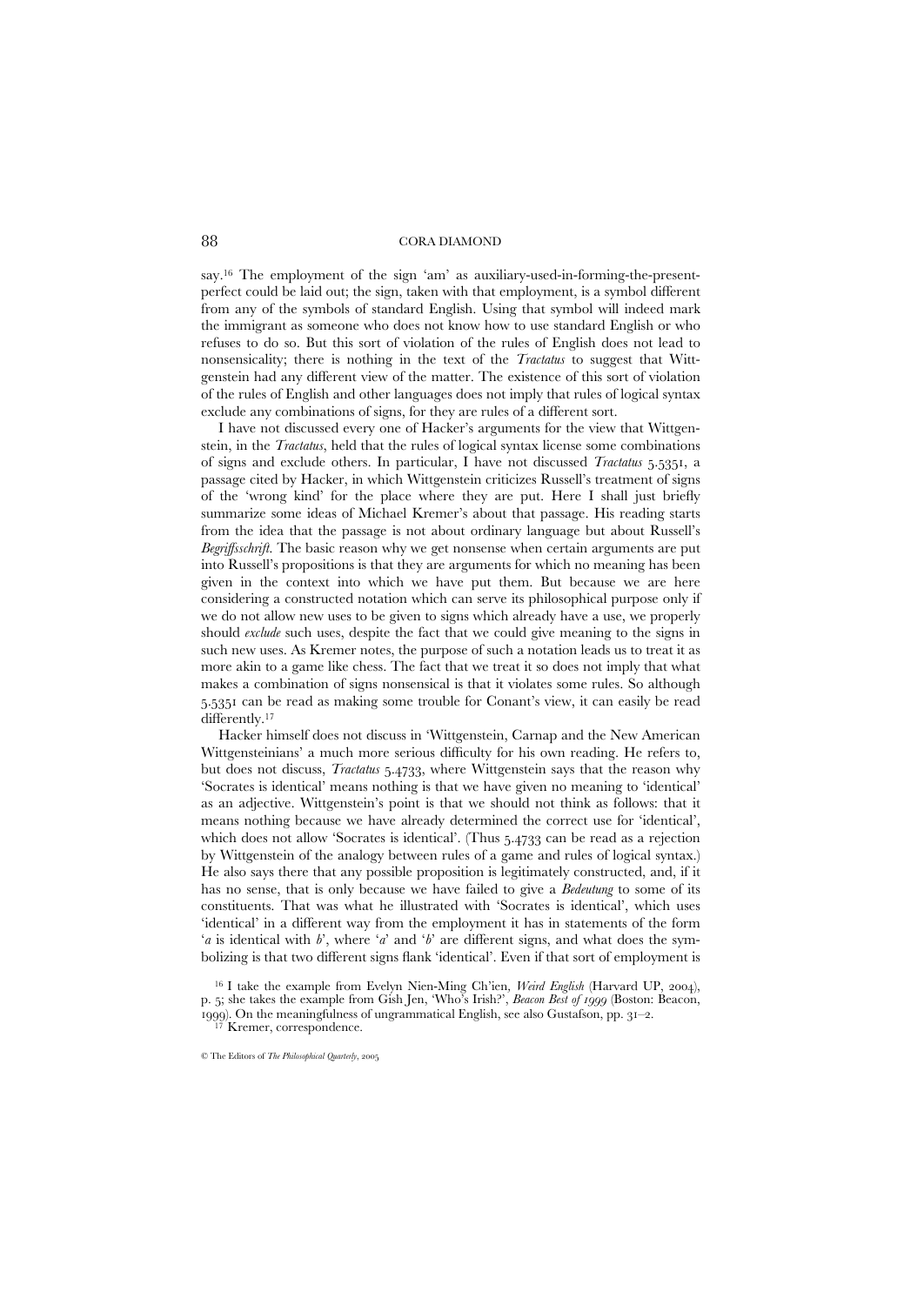say.16 The employment of the sign 'am' as auxiliary-used-in-forming-the-presentperfect could be laid out; the sign, taken with that employment, is a symbol different from any of the symbols of standard English. Using that symbol will indeed mark the immigrant as someone who does not know how to use standard English or who refuses to do so. But this sort of violation of the rules of English does not lead to nonsensicality; there is nothing in the text of the *Tractatus* to suggest that Wittgenstein had any different view of the matter. The existence of this sort of violation of the rules of English and other languages does not imply that rules of logical syntax exclude any combinations of signs, for they are rules of a different sort.

I have not discussed every one of Hacker's arguments for the view that Wittgenstein, in the *Tractatus*, held that the rules of logical syntax license some combinations of signs and exclude others. In particular, I have not discussed *Tractatus* 5.5351, a passage cited by Hacker, in which Wittgenstein criticizes Russell's treatment of signs of the 'wrong kind' for the place where they are put. Here I shall just briefly summarize some ideas of Michael Kremer's about that passage. His reading starts from the idea that the passage is not about ordinary language but about Russell's *Begriffsschrift*. The basic reason why we get nonsense when certain arguments are put into Russell's propositions is that they are arguments for which no meaning has been given in the context into which we have put them. But because we are here considering a constructed notation which can serve its philosophical purpose only if we do not allow new uses to be given to signs which already have a use, we properly should *exclude* such uses, despite the fact that we could give meaning to the signs in such new uses. As Kremer notes, the purpose of such a notation leads us to treat it as more akin to a game like chess. The fact that we treat it so does not imply that what makes a combination of signs nonsensical is that it violates some rules. So although . can be read as making some trouble for Conant's view, it can easily be read differently.17

Hacker himself does not discuss in 'Wittgenstein, Carnap and the New American Wittgensteinians' a much more serious difficulty for his own reading. He refers to, but does not discuss, *Tractatus* 5.4733, where Wittgenstein says that the reason why 'Socrates is identical' means nothing is that we have given no meaning to 'identical' as an adjective. Wittgenstein's point is that we should not think as follows: that it means nothing because we have already determined the correct use for 'identical', which does not allow 'Socrates is identical'. (Thus  $5.4733$  can be read as a rejection by Wittgenstein of the analogy between rules of a game and rules of logical syntax.) He also says there that any possible proposition is legitimately constructed, and, if it has no sense, that is only because we have failed to give a *Bedeutung* to some of its constituents. That was what he illustrated with 'Socrates is identical', which uses 'identical' in a different way from the employment it has in statements of the form '*a* is identical with *b*', where '*a*' and '*b*' are different signs, and what does the symbolizing is that two different signs flank 'identical'. Even if that sort of employment is

<sup>16</sup> I take the example from Evelyn Nien-Ming Ch'ien, Weird English (Harvard UP, 2004), p. 5; she takes the example from Gish Jen, 'Who's Irish?', *Beacon Best of 1999* (Boston: Beacon, 1999). On the meaningfulness of ungrammatical English, see also Gustafson, pp.  $3I-2$ .

<sup>17</sup> Kremer, correspondence.